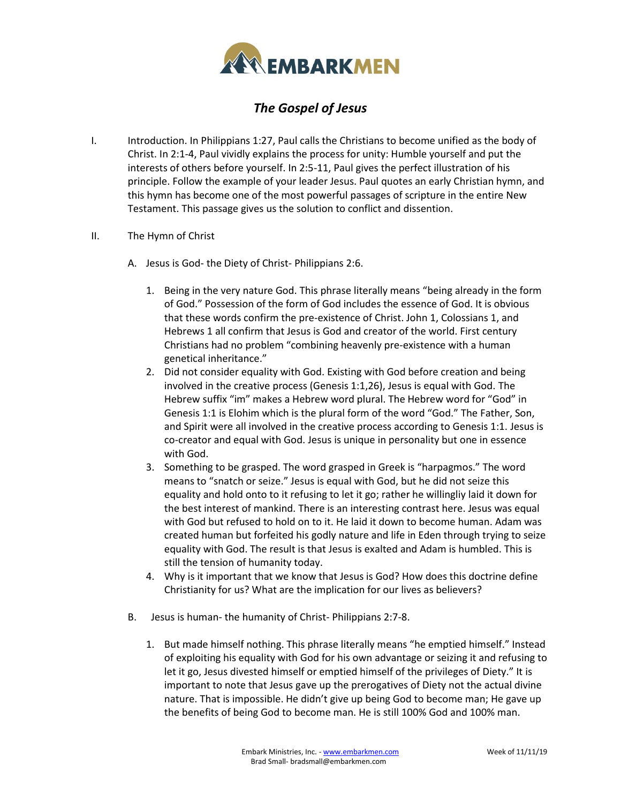

## *The Gospel of Jesus*

- I. Introduction. In Philippians 1:27, Paul calls the Christians to become unified as the body of Christ. In 2:1-4, Paul vividly explains the process for unity: Humble yourself and put the interests of others before yourself. In 2:5-11, Paul gives the perfect illustration of his principle. Follow the example of your leader Jesus. Paul quotes an early Christian hymn, and this hymn has become one of the most powerful passages of scripture in the entire New Testament. This passage gives us the solution to conflict and dissention.
- II. The Hymn of Christ
	- A. Jesus is God- the Diety of Christ- Philippians 2:6.
		- 1. Being in the very nature God. This phrase literally means "being already in the form of God." Possession of the form of God includes the essence of God. It is obvious that these words confirm the pre-existence of Christ. John 1, Colossians 1, and Hebrews 1 all confirm that Jesus is God and creator of the world. First century Christians had no problem "combining heavenly pre-existence with a human genetical inheritance."
		- 2. Did not consider equality with God. Existing with God before creation and being involved in the creative process (Genesis 1:1,26), Jesus is equal with God. The Hebrew suffix "im" makes a Hebrew word plural. The Hebrew word for "God" in Genesis 1:1 is Elohim which is the plural form of the word "God." The Father, Son, and Spirit were all involved in the creative process according to Genesis 1:1. Jesus is co-creator and equal with God. Jesus is unique in personality but one in essence with God.
		- 3. Something to be grasped. The word grasped in Greek is "harpagmos." The word means to "snatch or seize." Jesus is equal with God, but he did not seize this equality and hold onto to it refusing to let it go; rather he willingliy laid it down for the best interest of mankind. There is an interesting contrast here. Jesus was equal with God but refused to hold on to it. He laid it down to become human. Adam was created human but forfeited his godly nature and life in Eden through trying to seize equality with God. The result is that Jesus is exalted and Adam is humbled. This is still the tension of humanity today.
		- 4. Why is it important that we know that Jesus is God? How does this doctrine define Christianity for us? What are the implication for our lives as believers?
	- B. Jesus is human- the humanity of Christ- Philippians 2:7-8.
		- 1. But made himself nothing. This phrase literally means "he emptied himself." Instead of exploiting his equality with God for his own advantage or seizing it and refusing to let it go, Jesus divested himself or emptied himself of the privileges of Diety." It is important to note that Jesus gave up the prerogatives of Diety not the actual divine nature. That is impossible. He didn't give up being God to become man; He gave up the benefits of being God to become man. He is still 100% God and 100% man.